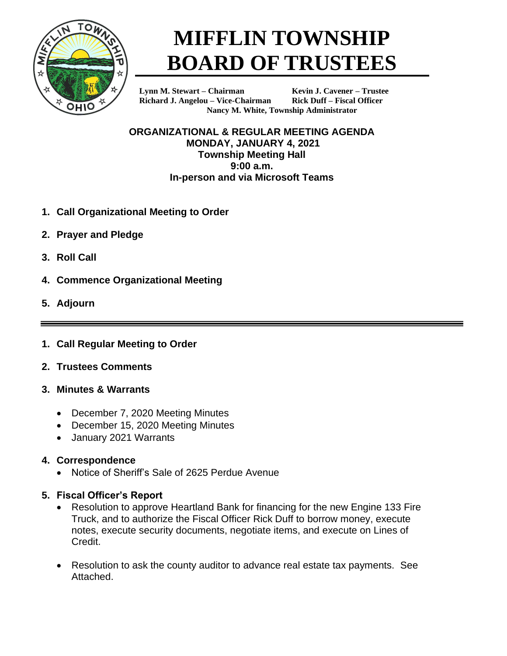

# **MIFFLIN TOWNSHIP BOARD OF TRUSTEES**

**Lynn M. Stewart – Chairman Kevin J. Cavener – Trustee Richard J. Angelou – Vice-Chairman Rick Duff – Fiscal Officer**

**Nancy M. White, Township Administrator**

**ORGANIZATIONAL & REGULAR MEETING AGENDA MONDAY, JANUARY 4, 2021 Township Meeting Hall 9:00 a.m. In-person and via Microsoft Teams**

- **1. Call Organizational Meeting to Order**
- **2. Prayer and Pledge**
- **3. Roll Call**
- **4. Commence Organizational Meeting**
- **5. Adjourn**
- **1. Call Regular Meeting to Order**
- **2. Trustees Comments**
- **3. Minutes & Warrants**
	- December 7, 2020 Meeting Minutes
	- December 15, 2020 Meeting Minutes
	- January 2021 Warrants

# **4. Correspondence**

• Notice of Sheriff's Sale of 2625 Perdue Avenue

## **5. Fiscal Officer's Report**

- Resolution to approve Heartland Bank for financing for the new Engine 133 Fire Truck, and to authorize the Fiscal Officer Rick Duff to borrow money, execute notes, execute security documents, negotiate items, and execute on Lines of Credit.
- Resolution to ask the county auditor to advance real estate tax payments. See Attached.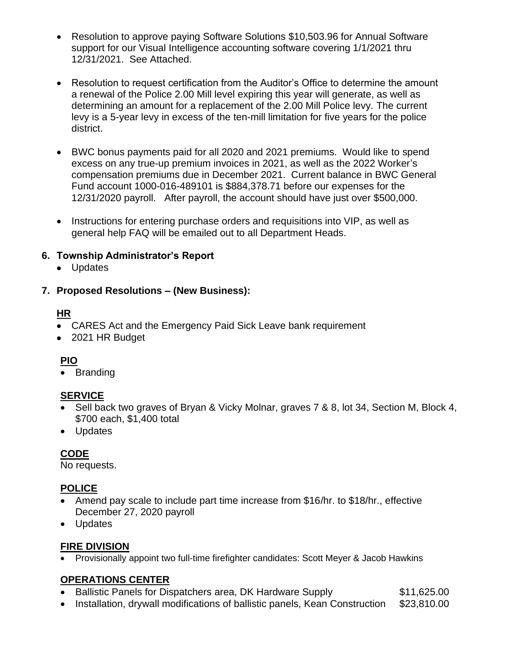- Resolution to approve paying Software Solutions \$10,503.96 for Annual Software support for our Visual Intelligence accounting software covering 1/1/2021 thru 12/31/2021. See Attached.
- Resolution to request certification from the Auditor's Office to determine the amount a renewal of the Police 2.00 Mill level expiring this year will generate, as well as determining an amount for a replacement of the 2.00 Mill Police levy. The current levy is a 5-year levy in excess of the ten-mill limitation for five years for the police district.
- BWC bonus payments paid for all 2020 and 2021 premiums. Would like to spend excess on any true-up premium invoices in 2021, as well as the 2022 Worker's compensation premiums due in December 2021. Current balance in BWC General Fund account 1000-016-489101 is \$884,378.71 before our expenses for the 12/31/2020 payroll. After payroll, the account should have just over \$500,000.
- Instructions for entering purchase orders and requisitions into VIP, as well as general help FAQ will be emailed out to all Department Heads.

## **6. Township Administrator's Report**

• Updates

### **7. Proposed Resolutions – (New Business):**

### **HR**

- CARES Act and the Emergency Paid Sick Leave bank requirement
- 2021 HR Budget

### **PIO**

• Branding

### **SERVICE**

- Sell back two graves of Bryan & Vicky Molnar, graves 7 & 8, lot 34, Section M, Block 4, \$700 each, \$1,400 total
- Updates

## **CODE**

No requests.

### **POLICE**

- Amend pay scale to include part time increase from \$16/hr. to \$18/hr., effective December 27, 2020 payroll
- Updates

### **FIRE DIVISION**

• Provisionally appoint two full-time firefighter candidates: Scott Meyer & Jacob Hawkins

## **OPERATIONS CENTER**

- Ballistic Panels for Dispatchers area, DK Hardware Supply \$11,625.00
- Installation, drywall modifications of ballistic panels, Kean Construction \$23,810.00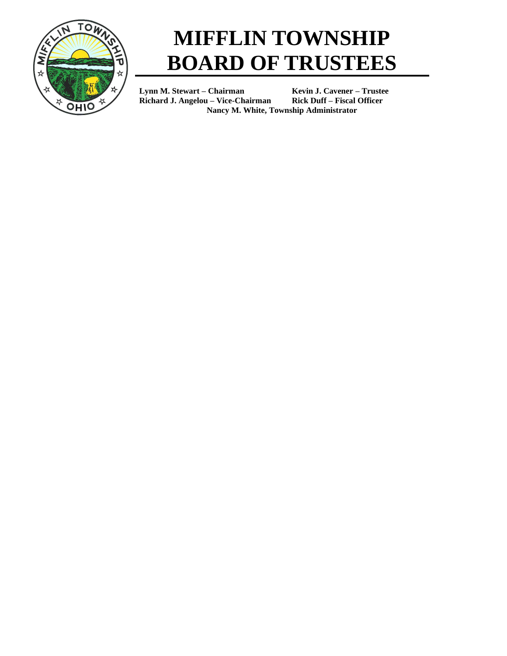

# **MIFFLIN TOWNSHIP BOARD OF TRUSTEES**

**Lynn M. Stewart – Chairman Kevin J. Cavener – Trustee Richard J. Angelou – Vice-Chairman Rick Duff – Fiscal Officer Nancy M. White, Township Administrator**